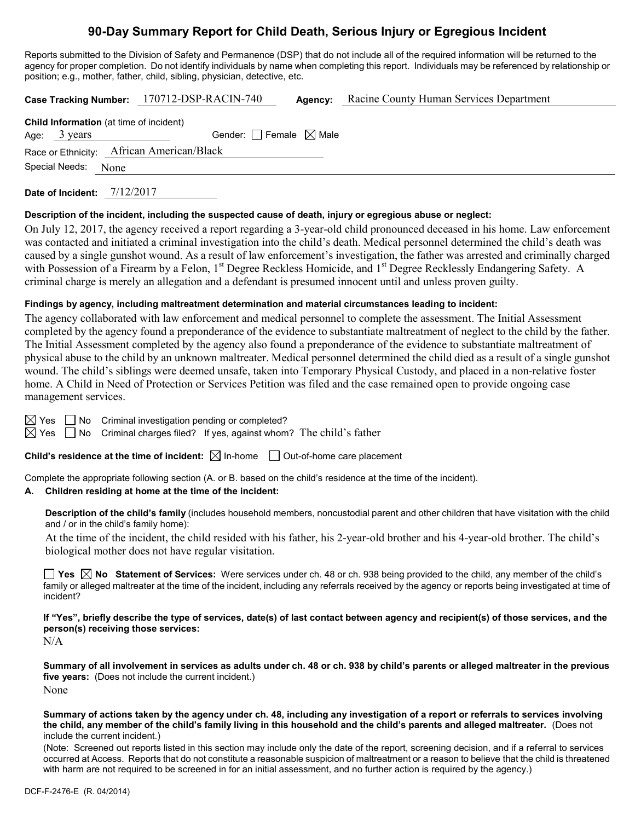# **90-Day Summary Report for Child Death, Serious Injury or Egregious Incident**

Reports submitted to the Division of Safety and Permanence (DSP) that do not include all of the required information will be returned to the agency for proper completion. Do not identify individuals by name when completing this report. Individuals may be referenced by relationship or position; e.g., mother, father, child, sibling, physician, detective, etc.

**Case Tracking Number:** 170712-DSP-RACIN-740 **Agency:** Racine County Human Services Department **Child Information** (at time of incident)

|  | Age: $3 \text{ years}$ | Gender: Female $\boxtimes$ Male           |  |  |  |  |
|--|------------------------|-------------------------------------------|--|--|--|--|
|  |                        | Race or Ethnicity: African American/Black |  |  |  |  |
|  | Special Needs: None    |                                           |  |  |  |  |
|  |                        |                                           |  |  |  |  |

**Date of Incident:** 7/12/2017

### **Description of the incident, including the suspected cause of death, injury or egregious abuse or neglect:**

On July 12, 2017, the agency received a report regarding a 3-year-old child pronounced deceased in his home. Law enforcement was contacted and initiated a criminal investigation into the child's death. Medical personnel determined the child's death was caused by a single gunshot wound. As a result of law enforcement's investigation, the father was arrested and criminally charged with Possession of a Firearm by a Felon, 1<sup>st</sup> Degree Reckless Homicide, and 1<sup>st</sup> Degree Recklessly Endangering Safety. A criminal charge is merely an allegation and a defendant is presumed innocent until and unless proven guilty.

### **Findings by agency, including maltreatment determination and material circumstances leading to incident:**

The agency collaborated with law enforcement and medical personnel to complete the assessment. The Initial Assessment completed by the agency found a preponderance of the evidence to substantiate maltreatment of neglect to the child by the father. The Initial Assessment completed by the agency also found a preponderance of the evidence to substantiate maltreatment of physical abuse to the child by an unknown maltreater. Medical personnel determined the child died as a result of a single gunshot wound. The child's siblings were deemed unsafe, taken into Temporary Physical Custody, and placed in a non-relative foster home. A Child in Need of Protection or Services Petition was filed and the case remained open to provide ongoing case management services.

 $\boxtimes$  Yes  $\Box$  No Criminal investigation pending or completed?

 $\boxtimes$  Yes  $\Box$  No Criminal charges filed? If yes, against whom? The child's father

**Child's residence at the time of incident:** ⊠ In-home □ Out-of-home care placement

Complete the appropriate following section (A. or B. based on the child's residence at the time of the incident).

### **A. Children residing at home at the time of the incident:**

**Description of the child's family** (includes household members, noncustodial parent and other children that have visitation with the child and / or in the child's family home):

At the time of the incident, the child resided with his father, his 2-year-old brother and his 4-year-old brother. The child's biological mother does not have regular visitation.

**Yes No Statement of Services:** Were services under ch. 48 or ch. 938 being provided to the child, any member of the child's family or alleged maltreater at the time of the incident, including any referrals received by the agency or reports being investigated at time of incident?

**If "Yes", briefly describe the type of services, date(s) of last contact between agency and recipient(s) of those services, and the person(s) receiving those services:**

N/A

**Summary of all involvement in services as adults under ch. 48 or ch. 938 by child's parents or alleged maltreater in the previous five years:** (Does not include the current incident.) None

**Summary of actions taken by the agency under ch. 48, including any investigation of a report or referrals to services involving the child, any member of the child's family living in this household and the child's parents and alleged maltreater.** (Does not include the current incident.)

(Note: Screened out reports listed in this section may include only the date of the report, screening decision, and if a referral to services occurred at Access. Reports that do not constitute a reasonable suspicion of maltreatment or a reason to believe that the child is threatened with harm are not required to be screened in for an initial assessment, and no further action is required by the agency.)